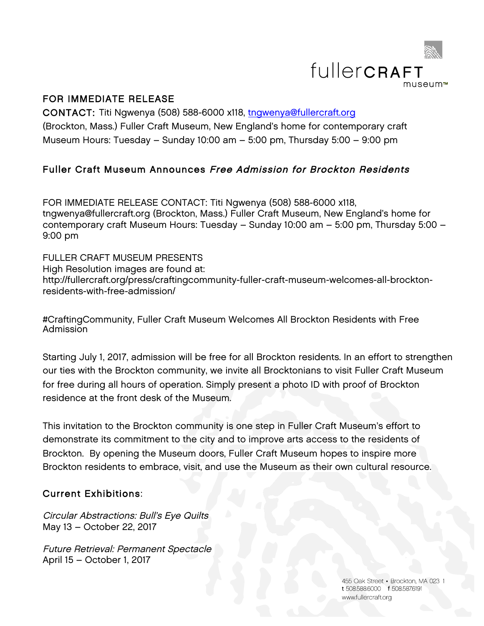

## FOR IMMEDIATE RELEASE

CONTACT: Titi Ngwenya (508) 588-6000 x118, tngwenya@fullercraft.org (Brockton, Mass.) Fuller Craft Museum, New England's home for contemporary craft Museum Hours: Tuesday – Sunday 10:00 am – 5:00 pm, Thursday 5:00 – 9:00 pm

# Fuller Craft Museum Announces Free Admission for Brockton Residents

FOR IMMEDIATE RELEASE CONTACT: Titi Ngwenya (508) 588-6000 x118, tngwenya@fullercraft.org (Brockton, Mass.) Fuller Craft Museum, New England's home for contemporary craft Museum Hours: Tuesday – Sunday 10:00 am – 5:00 pm, Thursday 5:00 – 9:00 pm

FULLER CRAFT MUSEUM PRESENTS High Resolution images are found at: http://fullercraft.org/press/craftingcommunity-fuller-craft-museum-welcomes-all-brocktonresidents-with-free-admission/

#CraftingCommunity, Fuller Craft Museum Welcomes All Brockton Residents with Free Admission

Starting July 1, 2017, admission will be free for all Brockton residents. In an effort to strengthen our ties with the Brockton community, we invite all Brocktonians to visit Fuller Craft Museum for free during all hours of operation. Simply present a photo ID with proof of Brockton residence at the front desk of the Museum.

This invitation to the Brockton community is one step in Fuller Craft Museum's effort to demonstrate its commitment to the city and to improve arts access to the residents of Brockton. By opening the Museum doors, Fuller Craft Museum hopes to inspire more Brockton residents to embrace, visit, and use the Museum as their own cultural resource.

## Current Exhibitions:

Circular Abstractions: Bull's Eye Quilts May 13 – October 22, 2017

Future Retrieval: Permanent Spectacle April 15 – October 1, 2017

> 455 Oak Street - Brockton, MA 023 t 508.588.6000 f 508.5876191 www.fullercraft.org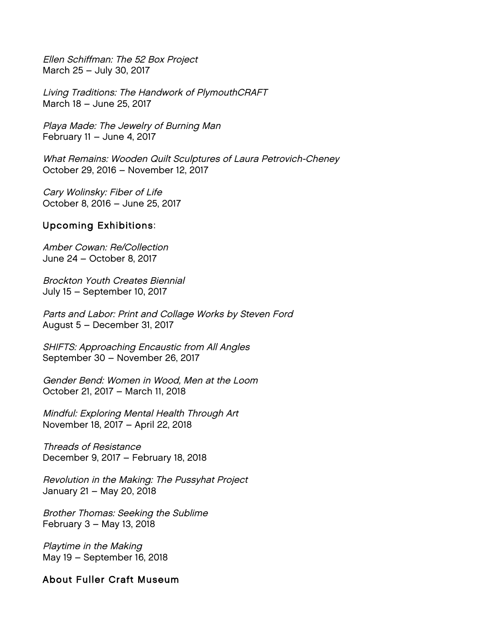Ellen Schiffman: The 52 Box Project March 25 – July 30, 2017

Living Traditions: The Handwork of PlymouthCRAFT March 18 – June 25, 2017

Playa Made: The Jewelry of Burning Man February 11 – June 4, 2017

What Remains: Wooden Quilt Sculptures of Laura Petrovich-Cheney October 29, 2016 – November 12, 2017

Cary Wolinsky: Fiber of Life October 8, 2016 – June 25, 2017

### Upcoming Exhibitions:

Amber Cowan: Re/Collection June 24 – October 8, 2017

Brockton Youth Creates Biennial July 15 – September 10, 2017

Parts and Labor: Print and Collage Works by Steven Ford August 5 – December 31, 2017

SHIFTS: Approaching Encaustic from All Angles September 30 – November 26, 2017

Gender Bend: Women in Wood, Men at the Loom October 21, 2017 – March 11, 2018

Mindful: Exploring Mental Health Through Art November 18, 2017 – April 22, 2018

Threads of Resistance December 9, 2017 – February 18, 2018

Revolution in the Making: The Pussyhat Project January 21 – May 20, 2018

Brother Thomas: Seeking the Sublime February 3 – May 13, 2018

Playtime in the Making May 19 – September 16, 2018

### About Fuller Craft Museum